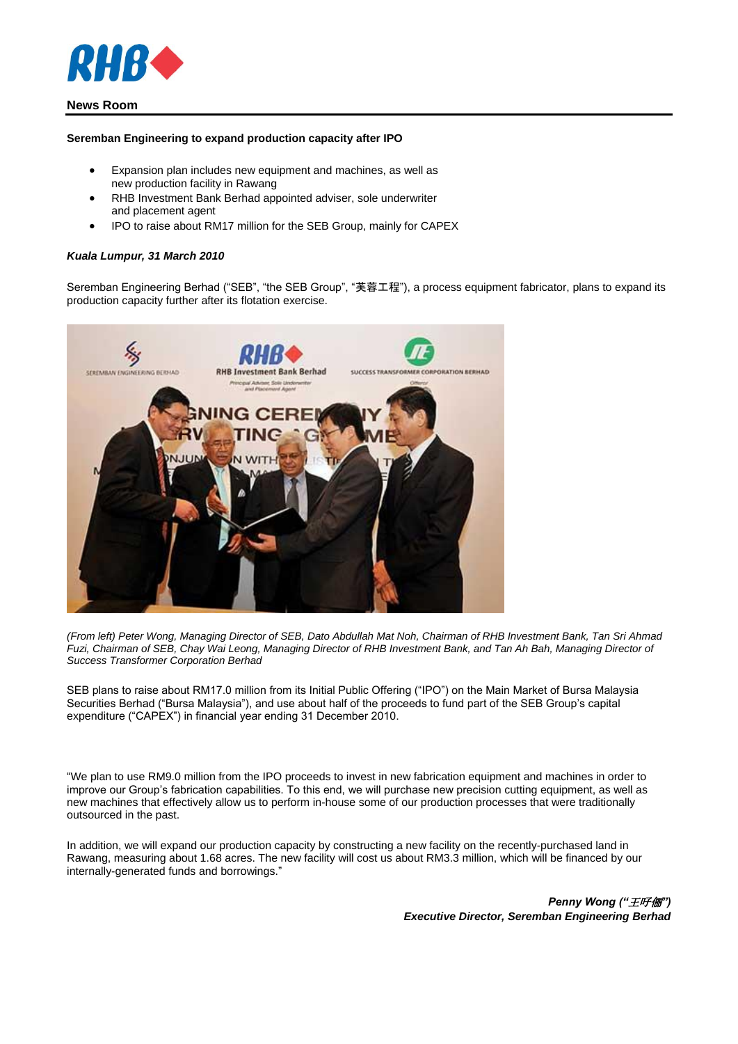

# **News Room**

#### **Seremban Engineering to expand production capacity after IPO**

- Expansion plan includes new equipment and machines, as well as new production facility in Rawang
- RHB Investment Bank Berhad appointed adviser, sole underwriter and placement agent
- IPO to raise about RM17 million for the SEB Group, mainly for CAPEX

### *Kuala Lumpur, 31 March 2010*

Seremban Engineering Berhad ("SEB", "the SEB Group", "芙蓉工程"), a process equipment fabricator, plans to expand its production capacity further after its flotation exercise.



*(From left) Peter Wong, Managing Director of SEB, Dato Abdullah Mat Noh, Chairman of RHB Investment Bank, Tan Sri Ahmad Fuzi, Chairman of SEB, Chay Wai Leong, Managing Director of RHB Investment Bank, and Tan Ah Bah, Managing Director of Success Transformer Corporation Berhad*

SEB plans to raise about RM17.0 million from its Initial Public Offering ("IPO") on the Main Market of Bursa Malaysia Securities Berhad ("Bursa Malaysia"), and use about half of the proceeds to fund part of the SEB Group's capital expenditure ("CAPEX") in financial year ending 31 December 2010.

"We plan to use RM9.0 million from the IPO proceeds to invest in new fabrication equipment and machines in order to improve our Group's fabrication capabilities. To this end, we will purchase new precision cutting equipment, as well as new machines that effectively allow us to perform in-house some of our production processes that were traditionally outsourced in the past.

In addition, we will expand our production capacity by constructing a new facility on the recently-purchased land in Rawang, measuring about 1.68 acres. The new facility will cost us about RM3.3 million, which will be financed by our internally-generated funds and borrowings."

> *Penny Wong ("*王吇俪*") Executive Director, Seremban Engineering Berhad*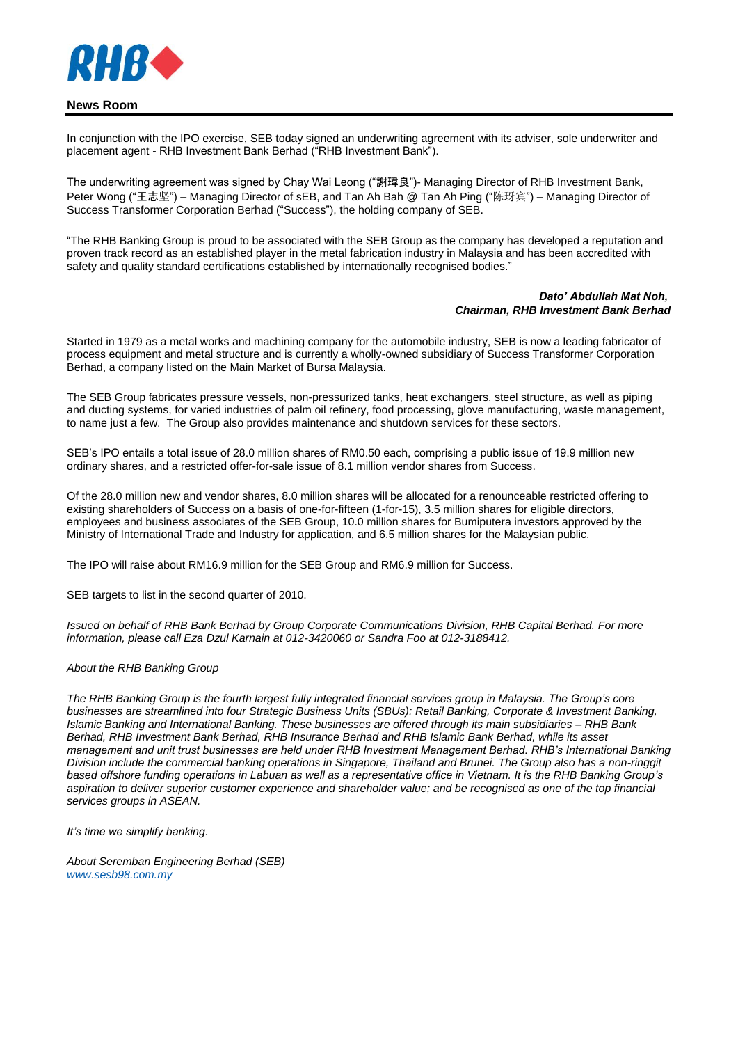

## **News Room**

In conjunction with the IPO exercise, SEB today signed an underwriting agreement with its adviser, sole underwriter and placement agent - RHB Investment Bank Berhad ("RHB Investment Bank").

The underwriting agreement was signed by Chay Wai Leong ("謝瑋良")- Managing Director of RHB Investment Bank, Peter Wong ("王志坚") – Managing Director of sEB, and Tan Ah Bah @ Tan Ah Ping ("陈玡宾") – Managing Director of Success Transformer Corporation Berhad ("Success"), the holding company of SEB.

"The RHB Banking Group is proud to be associated with the SEB Group as the company has developed a reputation and proven track record as an established player in the metal fabrication industry in Malaysia and has been accredited with safety and quality standard certifications established by internationally recognised bodies."

#### *Dato' Abdullah Mat Noh, Chairman, RHB Investment Bank Berhad*

Started in 1979 as a metal works and machining company for the automobile industry, SEB is now a leading fabricator of process equipment and metal structure and is currently a wholly-owned subsidiary of Success Transformer Corporation Berhad, a company listed on the Main Market of Bursa Malaysia.

The SEB Group fabricates pressure vessels, non-pressurized tanks, heat exchangers, steel structure, as well as piping and ducting systems, for varied industries of palm oil refinery, food processing, glove manufacturing, waste management, to name just a few. The Group also provides maintenance and shutdown services for these sectors.

SEB's IPO entails a total issue of 28.0 million shares of RM0.50 each, comprising a public issue of 19.9 million new ordinary shares, and a restricted offer-for-sale issue of 8.1 million vendor shares from Success.

Of the 28.0 million new and vendor shares, 8.0 million shares will be allocated for a renounceable restricted offering to existing shareholders of Success on a basis of one-for-fifteen (1-for-15), 3.5 million shares for eligible directors, employees and business associates of the SEB Group, 10.0 million shares for Bumiputera investors approved by the Ministry of International Trade and Industry for application, and 6.5 million shares for the Malaysian public.

The IPO will raise about RM16.9 million for the SEB Group and RM6.9 million for Success.

SEB targets to list in the second quarter of 2010.

*Issued on behalf of RHB Bank Berhad by Group Corporate Communications Division, RHB Capital Berhad. For more information, please call Eza Dzul Karnain at 012-3420060 or Sandra Foo at 012-3188412.*

#### *About the RHB Banking Group*

*The RHB Banking Group is the fourth largest fully integrated financial services group in Malaysia. The Group's core businesses are streamlined into four Strategic Business Units (SBUs): Retail Banking, Corporate & Investment Banking, Islamic Banking and International Banking. These businesses are offered through its main subsidiaries – RHB Bank Berhad, RHB Investment Bank Berhad, RHB Insurance Berhad and RHB Islamic Bank Berhad, while its asset management and unit trust businesses are held under RHB Investment Management Berhad. RHB's International Banking Division include the commercial banking operations in Singapore, Thailand and Brunei. The Group also has a non-ringgit based offshore funding operations in Labuan as well as a representative office in Vietnam. It is the RHB Banking Group's aspiration to deliver superior customer experience and shareholder value; and be recognised as one of the top financial services groups in ASEAN.*

*It's time we simplify banking.*

*About Seremban Engineering Berhad (SEB) [www.sesb98.com.my](javascript:;)*